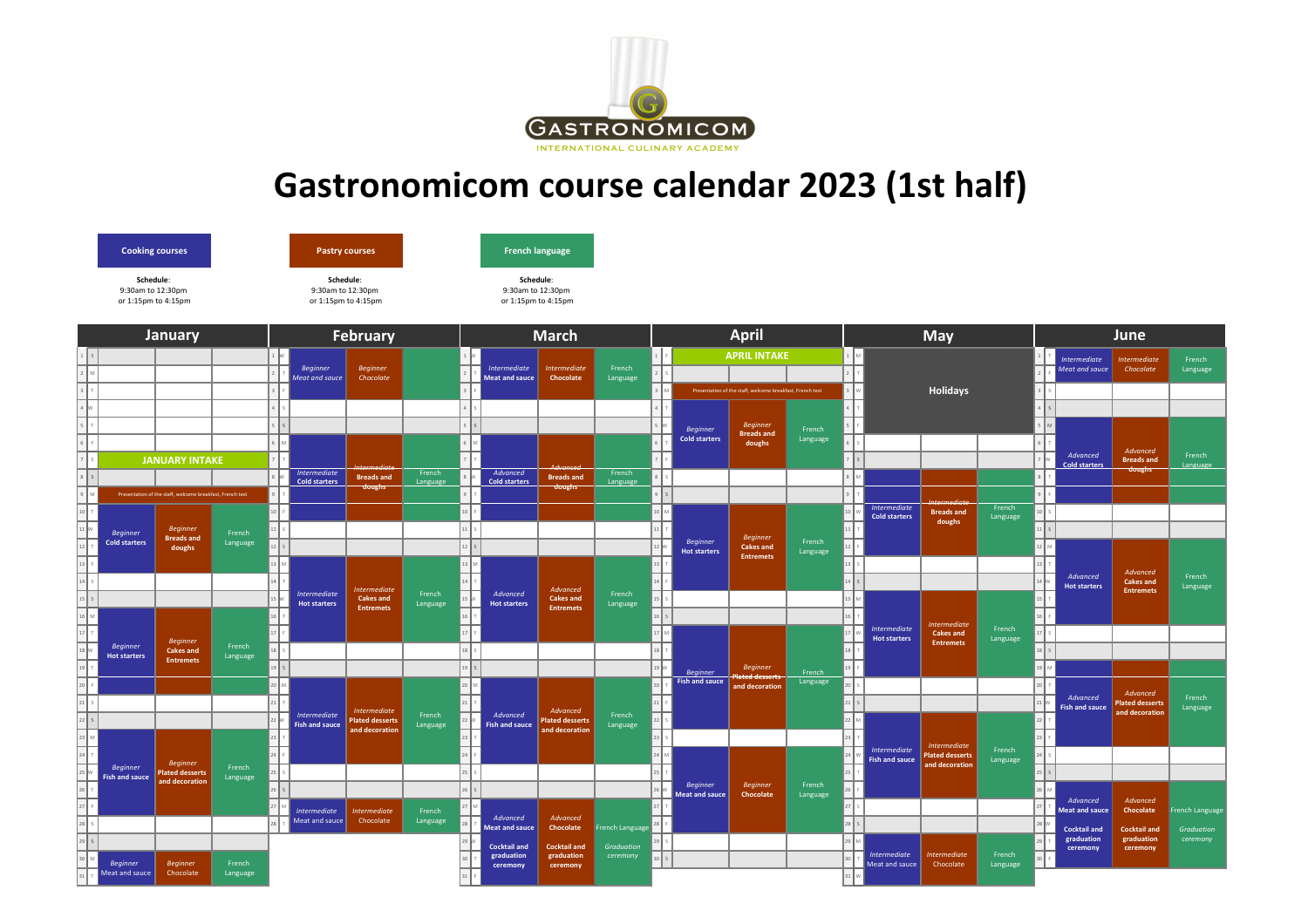

## **Gastronomicom course calendar 2023 (1st half)**



| <b>January</b> |                                          |                                                           |                    |                      | <b>February</b>                       |                                                                                    |                    |  | <b>March</b>                      |                                                  |                    |         |                                         | <b>April</b>                                              |                    |                       | May                                          |                                                             |                    |    | June                                  |                                    |                        |  |
|----------------|------------------------------------------|-----------------------------------------------------------|--------------------|----------------------|---------------------------------------|------------------------------------------------------------------------------------|--------------------|--|-----------------------------------|--------------------------------------------------|--------------------|---------|-----------------------------------------|-----------------------------------------------------------|--------------------|-----------------------|----------------------------------------------|-------------------------------------------------------------|--------------------|----|---------------------------------------|------------------------------------|------------------------|--|
|                |                                          |                                                           |                    |                      | <b>Beginner</b>                       | <b>Beginner</b>                                                                    |                    |  | <b>Intermediate</b>               | Intermediate                                     | French             |         |                                         | <b>APRIL INTAKE</b>                                       |                    |                       |                                              |                                                             |                    |    | <b>Intermediate</b><br>Meat and sauce | Intermediate<br>Chocolate          | French<br>Language     |  |
|                |                                          |                                                           |                    |                      | Meat and sauce                        | Chocolate                                                                          |                    |  | <b>Meat and sauce</b>             | Chocolate                                        | Language           |         |                                         |                                                           |                    |                       |                                              |                                                             |                    |    |                                       |                                    |                        |  |
|                |                                          |                                                           |                    |                      |                                       |                                                                                    |                    |  |                                   |                                                  |                    |         |                                         | Presentation of the staff, welcome breakfast, French test |                    |                       |                                              | <b>Holidays</b>                                             |                    |    |                                       |                                    |                        |  |
|                |                                          |                                                           |                    |                      |                                       |                                                                                    |                    |  |                                   |                                                  |                    |         |                                         |                                                           |                    |                       |                                              |                                                             |                    |    |                                       |                                    |                        |  |
|                |                                          |                                                           |                    |                      |                                       |                                                                                    |                    |  |                                   |                                                  |                    |         | <b>Beginner</b><br><b>Cold starters</b> | <b>Beginner</b><br><b>Breads and</b>                      | French<br>Language |                       |                                              |                                                             |                    |    |                                       |                                    |                        |  |
|                |                                          | <b>JANUARY INTAKE</b>                                     |                    | Intermediate         |                                       |                                                                                    | French<br>Language |  | Advanced<br><b>Cold starters</b>  | Advanced<br><b>Breads and</b><br>doughs          |                    | $\vert$ |                                         | doughs                                                    |                    |                       |                                              |                                                             |                    |    | Advanced<br><b>Cold starters</b>      | Advanced<br><b>Breads and</b>      | French<br>Language     |  |
|                |                                          |                                                           |                    |                      |                                       | <b>Intermediate</b><br><b>Breads and</b>                                           |                    |  |                                   |                                                  | French             |         |                                         |                                                           |                    |                       |                                              |                                                             |                    |    |                                       | doughs                             |                        |  |
|                |                                          | Presentation of the staff, welcome breakfast, French test |                    | <b>Cold starters</b> |                                       | doughs                                                                             |                    |  |                                   |                                                  | Language           |         |                                         |                                                           |                    |                       |                                              |                                                             |                    |    |                                       |                                    |                        |  |
|                |                                          |                                                           |                    |                      |                                       |                                                                                    |                    |  |                                   |                                                  |                    |         |                                         |                                                           |                    | $10$                  | <b>Intermediate</b><br><b>Cold starters</b>  | <b>Intermediate</b><br><b>Breads and</b><br>doughs          | French<br>Language | 10 |                                       |                                    |                        |  |
|                |                                          | <b>Beginner</b>                                           |                    |                      |                                       |                                                                                    |                    |  |                                   |                                                  |                    |         |                                         |                                                           |                    |                       |                                              |                                                             |                    |    |                                       |                                    |                        |  |
|                | <b>Beginner</b><br><b>Cold starters</b>  | <b>Breads and</b><br>doughs                               | French<br>Language |                      |                                       |                                                                                    |                    |  |                                   |                                                  |                    |         | <b>Beginner</b>                         | <b>Beginner</b><br><b>Cakes and</b>                       | French             |                       |                                              |                                                             |                    |    |                                       |                                    |                        |  |
|                |                                          |                                                           |                    |                      |                                       |                                                                                    |                    |  |                                   |                                                  |                    |         | <b>Hot starters</b>                     | <b>Entremets</b>                                          | Language           | $\mathbf{I}_{13}$     |                                              |                                                             |                    |    |                                       |                                    |                        |  |
|                |                                          |                                                           |                    |                      |                                       |                                                                                    |                    |  |                                   |                                                  |                    |         |                                         |                                                           |                    | $_{14}$               |                                              |                                                             |                    |    | Advanced                              | Advanced<br><b>Cakes and</b>       | French<br>Language     |  |
|                |                                          |                                                           |                    |                      | <b>Intermediate</b>                   | <b>Intermediate</b><br><b>Cakes and</b><br><b>Hot starters</b><br><b>Entremets</b> | French<br>Language |  | Advanced<br><b>Hot starters</b>   | Advanced<br><b>Cakes and</b><br><b>Entremets</b> | French<br>Language |         |                                         |                                                           |                    |                       |                                              | <b>Intermediate</b><br><b>Cakes and</b><br><b>Entremets</b> |                    |    | <b>Hot starters</b>                   | <b>Entremets</b>                   |                        |  |
|                |                                          |                                                           |                    |                      |                                       |                                                                                    |                    |  |                                   |                                                  |                    |         |                                         |                                                           |                    |                       |                                              |                                                             | French<br>Language |    |                                       |                                    |                        |  |
|                |                                          |                                                           |                    |                      |                                       |                                                                                    |                    |  |                                   |                                                  |                    |         |                                         |                                                           |                    |                       | <b>Intermediate</b><br><b>Hot starters</b>   |                                                             |                    | 17 |                                       |                                    |                        |  |
|                | <b>Beginner</b><br><b>Hot starters</b>   | <b>Beginner</b><br><b>Cakes and</b>                       | French<br>Language |                      |                                       |                                                                                    |                    |  |                                   |                                                  |                    |         |                                         |                                                           |                    |                       |                                              |                                                             |                    |    |                                       |                                    |                        |  |
|                |                                          | <b>Entremets</b>                                          |                    |                      |                                       |                                                                                    |                    |  |                                   |                                                  |                    |         | <b>Beginner</b>                         | <b>Beginner</b>                                           | French             |                       |                                              |                                                             |                    |    |                                       |                                    |                        |  |
|                |                                          |                                                           |                    |                      |                                       |                                                                                    |                    |  |                                   |                                                  |                    |         | <b>Fish and sauce</b>                   | <b>Plated desserts</b><br>and decoration                  | Language           | $_{20}$               |                                              |                                                             |                    |    |                                       |                                    |                        |  |
|                |                                          |                                                           |                    |                      |                                       |                                                                                    |                    |  |                                   |                                                  |                    |         |                                         |                                                           |                    |                       |                                              |                                                             |                    |    | Advanced<br><b>Fish and sauce</b>     | Advanced<br><b>Plated desserts</b> | French<br>Language     |  |
|                |                                          |                                                           |                    |                      | Intermediate<br><b>Fish and sauce</b> | Intermediate<br><b>Plated desserts</b>                                             | French<br>Language |  | Advanced<br><b>Fish and sauce</b> | Advanced<br><b>Plated desserts</b>               | French<br>Language | 22      |                                         |                                                           |                    |                       |                                              |                                                             |                    |    |                                       | and decoration                     |                        |  |
|                |                                          |                                                           |                    |                      |                                       | and decoration                                                                     |                    |  |                                   | and decoration                                   |                    | 23      |                                         |                                                           |                    |                       |                                              | <b>Intermediate</b>                                         |                    |    |                                       |                                    |                        |  |
|                |                                          | <b>Beginner</b>                                           |                    |                      |                                       |                                                                                    |                    |  |                                   |                                                  |                    |         |                                         |                                                           |                    |                       | <b>Intermediate</b><br><b>Fish and sauce</b> | lated desserts                                              | French<br>Language |    |                                       |                                    |                        |  |
|                | <b>Beginner</b><br><b>Fish and sauce</b> | <b>Plated desserts</b><br>and decoration                  | French<br>Language |                      |                                       |                                                                                    |                    |  |                                   |                                                  |                    |         |                                         |                                                           |                    |                       |                                              | and decoration                                              |                    |    |                                       |                                    |                        |  |
|                |                                          |                                                           |                    |                      |                                       |                                                                                    |                    |  |                                   |                                                  |                    |         | <b>Beginner</b><br>Meat and sauce       | <b>Beginner</b><br>Chocolate                              | French<br>Language |                       |                                              |                                                             |                    |    |                                       |                                    |                        |  |
|                |                                          |                                                           |                    |                      | <b>Intermediate</b>                   | <b>Intermediate</b>                                                                | French             |  |                                   |                                                  |                    |         |                                         |                                                           |                    | 27                    |                                              |                                                             |                    |    | Advanced<br><b>Meat and sauce</b>     | Advanced<br>Chocolate              | <b>French Language</b> |  |
|                |                                          |                                                           |                    |                      | Meat and sauce                        | Chocolate                                                                          | Language           |  | Advanced<br><b>Meat and sauce</b> | Advanced<br>Chocolate                            | French Language    |         |                                         |                                                           |                    | 28                    |                                              |                                                             |                    |    | <b>Cocktail and</b>                   | <b>Cocktail and</b>                | <b>Graduation</b>      |  |
|                |                                          |                                                           |                    |                      |                                       |                                                                                    |                    |  | <b>Cocktail and</b>               | <b>Cocktail and</b>                              | Graduation         |         |                                         |                                                           |                    | $\vert$ 29 $\vert$ M  |                                              |                                                             |                    |    | graduation<br>ceremony                | graduation<br>ceremony             | ceremony               |  |
|                | <b>Beginner</b>                          | <b>Beginner</b>                                           | French             |                      |                                       |                                                                                    |                    |  | graduation<br>ceremony            | graduation<br>ceremony                           | ceremony           |         |                                         |                                                           |                    | $\vert$ <sub>30</sub> | <b>Intermediate</b><br>Meat and sauce        | <b>Intermediate</b><br>Chocolate                            | French<br>Language |    |                                       |                                    |                        |  |
|                | Meat and sauce                           | Chocolate                                                 | Language           |                      |                                       |                                                                                    |                    |  |                                   |                                                  |                    |         |                                         |                                                           |                    |                       |                                              |                                                             |                    |    |                                       |                                    |                        |  |